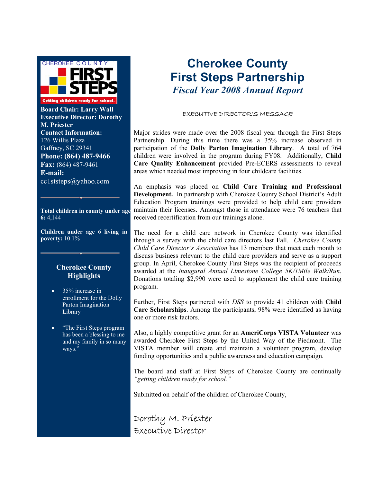

**Board Chair: Larry Wall Executive Director: Dorothy M. Priester Contact Information:**  126 Willis Plaza Gaffney, SC 29341 **Phone: (864) 487-9466 Fax:** (864) 487-9461 **E-mail:**  cc1ststeps@yahoo.com

**Total children in county under age 6:** 4,144

**Children under age 6 living in poverty:** 10.1%

#### **Cherokee County Highlights**

- 35% increase in enrollment for the Dolly Parton Imagination Library
- "The First Steps program has been a blessing to me and my family in so many ways.'

## **Cherokee County First Steps Partnership** *Fiscal Year 2008 Annual Report*

#### EXECUTIVE DIRECTOR'S MESSAGE

Major strides were made over the 2008 fiscal year through the First Steps Partnership. During this time there was a 35% increase observed in participation of the **Dolly Parton Imagination Library**. A total of 764 children were involved in the program during FY08. Additionally, **Child Care Quality Enhancement** provided Pre-ECERS assessments to reveal areas which needed most improving in four childcare facilities.

An emphasis was placed on **Child Care Training and Professional Development.** In partnership with Cherokee County School District's Adult Education Program trainings were provided to help child care providers maintain their licenses. Amongst those in attendance were 76 teachers that received recertification from our trainings alone.

The need for a child care network in Cherokee County was identified through a survey with the child care directors last Fall. *Cherokee County Child Care Director's Association* has 13 members that meet each month to discuss business relevant to the child care providers and serve as a support group. In April, Cherokee County First Steps was the recipient of proceeds awarded at the *Inaugural Annual Limestone College 5K/1Mile Walk/Run*. Donations totaling \$2,990 were used to supplement the child care training program.

Further, First Steps partnered with *DSS* to provide 41 children with **Child Care Scholarships**. Among the participants, 98% were identified as having one or more risk factors.

Also, a highly competitive grant for an **AmeriCorps VISTA Volunteer** was awarded Cherokee First Steps by the United Way of the Piedmont. The VISTA member will create and maintain a volunteer program, develop funding opportunities and a public awareness and education campaign.

The board and staff at First Steps of Cherokee County are continually *"getting children ready for school."* 

Submitted on behalf of the children of Cherokee County,

Dorothy M. Priester Executive Director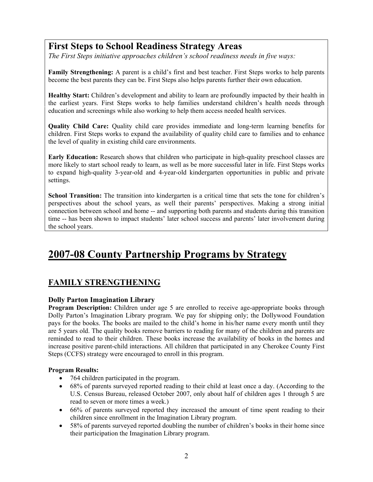### **First Steps to School Readiness Strategy Areas**

*The First Steps initiative approaches children's school readiness needs in five ways:* 

**Family Strengthening:** A parent is a child's first and best teacher. First Steps works to help parents become the best parents they can be. First Steps also helps parents further their own education.

**Healthy Start:** Children's development and ability to learn are profoundly impacted by their health in the earliest years. First Steps works to help families understand children's health needs through education and screenings while also working to help them access needed health services.

**Quality Child Care:** Quality child care provides immediate and long-term learning benefits for children. First Steps works to expand the availability of quality child care to families and to enhance the level of quality in existing child care environments.

**Early Education:** Research shows that children who participate in high-quality preschool classes are more likely to start school ready to learn, as well as be more successful later in life. First Steps works to expand high-quality 3-year-old and 4-year-old kindergarten opportunities in public and private settings.

**School Transition:** The transition into kindergarten is a critical time that sets the tone for children's perspectives about the school years, as well their parents' perspectives. Making a strong initial connection between school and home -- and supporting both parents and students during this transition time -- has been shown to impact students' later school success and parents' later involvement during the school years.

### **2007-08 County Partnership Programs by Strategy**

#### **FAMILY STRENGTHENING**

#### **Dolly Parton Imagination Library**

**Program Description:** Children under age 5 are enrolled to receive age-appropriate books through Dolly Parton's Imagination Library program. We pay for shipping only; the Dollywood Foundation pays for the books. The books are mailed to the child's home in his/her name every month until they are 5 years old. The quality books remove barriers to reading for many of the children and parents are reminded to read to their children. These books increase the availability of books in the homes and increase positive parent-child interactions. All children that participated in any Cherokee County First Steps (CCFS) strategy were encouraged to enroll in this program.

#### **Program Results:**

- 764 children participated in the program.
- 68% of parents surveyed reported reading to their child at least once a day. (According to the U.S. Census Bureau, released October 2007, only about half of children ages 1 through 5 are read to seven or more times a week.)
- 66% of parents surveyed reported they increased the amount of time spent reading to their children since enrollment in the Imagination Library program.
- 58% of parents surveyed reported doubling the number of children's books in their home since their participation the Imagination Library program.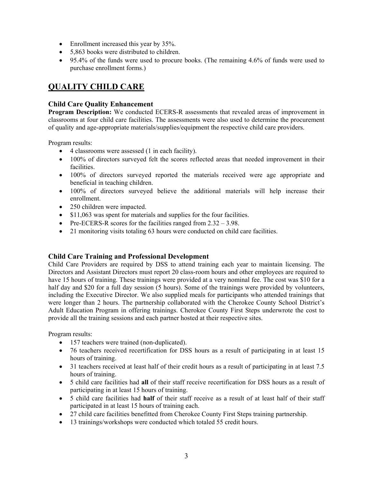- Enrollment increased this year by 35%.
- 5,863 books were distributed to children.
- 95.4% of the funds were used to procure books. (The remaining 4.6% of funds were used to purchase enrollment forms.)

#### **QUALITY CHILD CARE**

#### **Child Care Quality Enhancement**

**Program Description:** We conducted ECERS-R assessments that revealed areas of improvement in classrooms at four child care facilities. The assessments were also used to determine the procurement of quality and age-appropriate materials/supplies/equipment the respective child care providers.

Program results:

- 4 classrooms were assessed (1 in each facility).
- 100% of directors surveyed felt the scores reflected areas that needed improvement in their facilities.
- 100% of directors surveyed reported the materials received were age appropriate and beneficial in teaching children.
- 100% of directors surveyed believe the additional materials will help increase their enrollment.
- 250 children were impacted.
- \$11,063 was spent for materials and supplies for the four facilities.
- Pre-ECERS-R scores for the facilities ranged from  $2.32 3.98$ .
- 21 monitoring visits totaling 63 hours were conducted on child care facilities.

#### **Child Care Training and Professional Development**

Child Care Providers are required by DSS to attend training each year to maintain licensing. The Directors and Assistant Directors must report 20 class-room hours and other employees are required to have 15 hours of training. These trainings were provided at a very nominal fee. The cost was \$10 for a half day and \$20 for a full day session (5 hours). Some of the trainings were provided by volunteers, including the Executive Director. We also supplied meals for participants who attended trainings that were longer than 2 hours. The partnership collaborated with the Cherokee County School District's Adult Education Program in offering trainings. Cherokee County First Steps underwrote the cost to provide all the training sessions and each partner hosted at their respective sites.

Program results:

- 157 teachers were trained (non-duplicated).
- 76 teachers received recertification for DSS hours as a result of participating in at least 15 hours of training.
- 31 teachers received at least half of their credit hours as a result of participating in at least 7.5 hours of training.
- 5 child care facilities had **all** of their staff receive recertification for DSS hours as a result of participating in at least 15 hours of training.
- 5 child care facilities had **half** of their staff receive as a result of at least half of their staff participated in at least 15 hours of training each.
- 27 child care facilities benefitted from Cherokee County First Steps training partnership.
- 13 trainings/workshops were conducted which totaled 55 credit hours.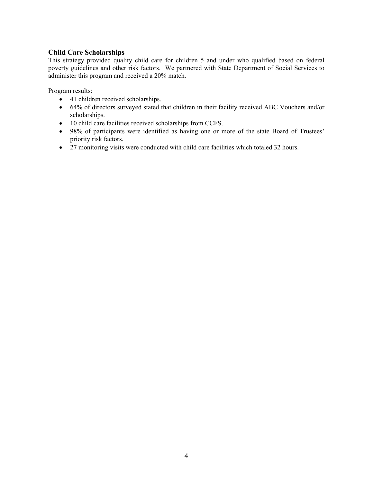#### **Child Care Scholarships**

This strategy provided quality child care for children 5 and under who qualified based on federal poverty guidelines and other risk factors. We partnered with State Department of Social Services to administer this program and received a 20% match.

Program results:

- 41 children received scholarships.
- 64% of directors surveyed stated that children in their facility received ABC Vouchers and/or scholarships.
- 10 child care facilities received scholarships from CCFS.
- 98% of participants were identified as having one or more of the state Board of Trustees' priority risk factors.
- 27 monitoring visits were conducted with child care facilities which totaled 32 hours.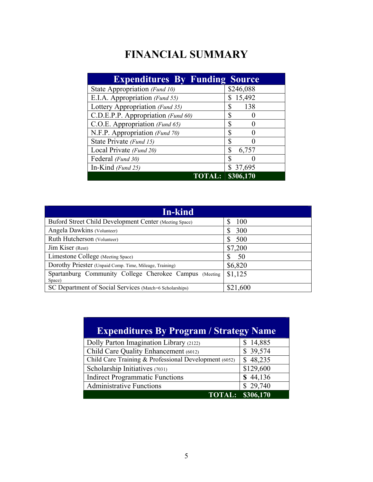# **FINANCIAL SUMMARY**

| <b>Expenditures By Funding Source</b> |                |
|---------------------------------------|----------------|
| State Appropriation (Fund 10)         | \$246,088      |
| E.I.A. Appropriation (Fund 55)        | \$15,492       |
| Lottery Appropriation (Fund 35)       | \$<br>138      |
| C.D.E.P.P. Appropriation (Fund 60)    |                |
| C.O.E. Appropriation (Fund 65)        | Տ              |
| N.F.P. Appropriation (Fund 70)        | ⊕              |
| State Private (Fund 15)               | Ф              |
| Local Private (Fund 20)               | \$<br>6,757    |
| Federal (Fund 30)                     | S              |
| In-Kind (Fund 25)                     | \$ 37,695      |
| <b>TOTA</b>                           | $L:$ \$306,170 |

| In-kind                                                          |          |
|------------------------------------------------------------------|----------|
| Buford Street Child Development Center (Meeting Space)           | 100      |
| Angela Dawkins (Volunteer)                                       | 300<br>S |
| Ruth Hutcherson (Volunteer)                                      | 500<br>S |
| Jim Kiser (Rent)                                                 | \$7,200  |
| Limestone College (Meeting Space)                                | S<br>50  |
| Dorothy Priester (Unpaid Comp. Time, Mileage, Training)          | \$6,820  |
| Spartanburg Community College Cherokee Campus (Meeting<br>Space) | \$1,125  |
| SC Department of Social Services (Match=6 Scholarships)          | \$21,600 |

| <b>Expenditures By Program / Strategy Name</b>        |           |  |
|-------------------------------------------------------|-----------|--|
| Dolly Parton Imagination Library (2122)               | \$14,885  |  |
| Child Care Quality Enhancement (6012)                 | \$39,574  |  |
| Child Care Training & Professional Development (6052) | \$48,235  |  |
| Scholarship Initiatives (7031)                        | \$129,600 |  |
| <b>Indirect Programmatic Functions</b>                | \$44,136  |  |
| <b>Administrative Functions</b>                       | \$29,740  |  |
| <b>TOTAL:</b> '                                       | \$306,170 |  |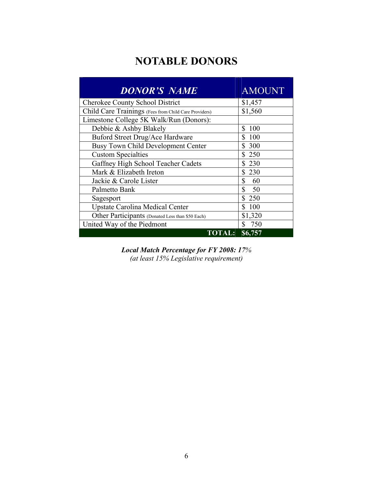## **NOTABLE DONORS**

| <b>DONOR'S NAME</b>                                   | <b>AMOUNT</b>        |
|-------------------------------------------------------|----------------------|
| Cherokee County School District                       | \$1,457              |
| Child Care Trainings (Fees from Child Care Providers) | \$1,560              |
| Limestone College 5K Walk/Run (Donors):               |                      |
| Debbie & Ashby Blakely                                | \$.<br>100           |
| Buford Street Drug/Ace Hardware                       | \$<br>-100           |
| <b>Busy Town Child Development Center</b>             | \$ 300               |
| <b>Custom Specialties</b>                             | \$250                |
| Gaffney High School Teacher Cadets                    | \$230                |
| Mark & Elizabeth Ireton                               | \$230                |
| Jackie & Carole Lister                                | \$<br>60             |
| Palmetto Bank                                         | $\mathbb{S}$<br>- 50 |
| Sagesport                                             | \$250                |
| <b>Upstate Carolina Medical Center</b>                | \$100                |
| Other Participants (Donated Less than \$50 Each)      | \$1,320              |
| United Way of the Piedmont                            | 750                  |
| <b>TOTAL:</b>                                         | \$6,757              |

*Local Match Percentage for FY 2008: 17% (at least 15% Legislative requirement)*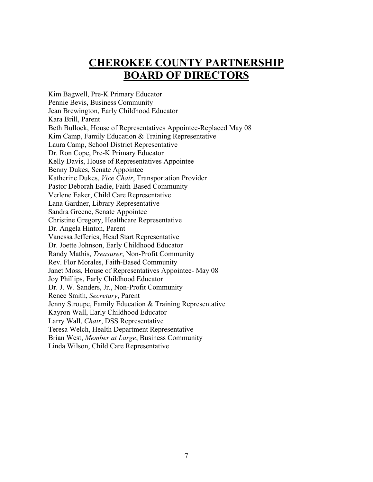### **CHEROKEE COUNTY PARTNERSHIP BOARD OF DIRECTORS**

Kim Bagwell, Pre-K Primary Educator Pennie Bevis, Business Community Jean Brewington, Early Childhood Educator Kara Brill, Parent Beth Bullock, House of Representatives Appointee-Replaced May 08 Kim Camp, Family Education & Training Representative Laura Camp, School District Representative Dr. Ron Cope, Pre-K Primary Educator Kelly Davis, House of Representatives Appointee Benny Dukes, Senate Appointee Katherine Dukes, *Vice Chair*, Transportation Provider Pastor Deborah Eadie, Faith-Based Community Verlene Eaker, Child Care Representative Lana Gardner, Library Representative Sandra Greene, Senate Appointee Christine Gregory, Healthcare Representative Dr. Angela Hinton, Parent Vanessa Jefferies, Head Start Representative Dr. Joette Johnson, Early Childhood Educator Randy Mathis, *Treasurer*, Non-Profit Community Rev. Flor Morales, Faith-Based Community Janet Moss, House of Representatives Appointee- May 08 Joy Phillips, Early Childhood Educator Dr. J. W. Sanders, Jr., Non-Profit Community Renee Smith, *Secretary*, Parent Jenny Stroupe, Family Education & Training Representative Kayron Wall, Early Childhood Educator Larry Wall, *Chair*, DSS Representative Teresa Welch, Health Department Representative Brian West, *Member at Large*, Business Community Linda Wilson, Child Care Representative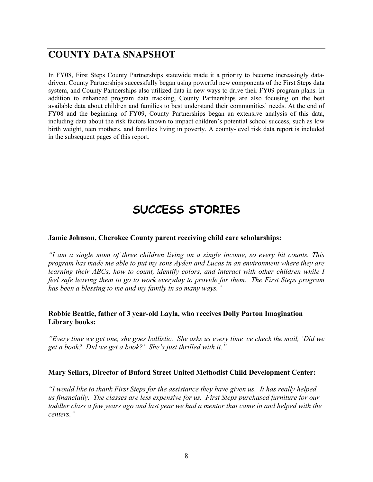### **COUNTY DATA SNAPSHOT**

In FY08, First Steps County Partnerships statewide made it a priority to become increasingly datadriven. County Partnerships successfully began using powerful new components of the First Steps data system, and County Partnerships also utilized data in new ways to drive their FY09 program plans. In addition to enhanced program data tracking, County Partnerships are also focusing on the best available data about children and families to best understand their communities' needs. At the end of FY08 and the beginning of FY09, County Partnerships began an extensive analysis of this data, including data about the risk factors known to impact children's potential school success, such as low birth weight, teen mothers, and families living in poverty. A county-level risk data report is included in the subsequent pages of this report.

# **SUCCESS STORIES**

#### **Jamie Johnson, Cherokee County parent receiving child care scholarships:**

*"I am a single mom of three children living on a single income, so every bit counts. This program has made me able to put my sons Ayden and Lucas in an environment where they are learning their ABCs, how to count, identify colors, and interact with other children while I feel safe leaving them to go to work everyday to provide for them. The First Steps program has been a blessing to me and my family in so many ways."*

#### **Robbie Beattie, father of 3 year-old Layla, who receives Dolly Parton Imagination Library books:**

*"Every time we get one, she goes ballistic. She asks us every time we check the mail, 'Did we get a book? Did we get a book?' She's just thrilled with it."*

#### **Mary Sellars, Director of Buford Street United Methodist Child Development Center:**

*"I would like to thank First Steps for the assistance they have given us. It has really helped us financially. The classes are less expensive for us. First Steps purchased furniture for our toddler class a few years ago and last year we had a mentor that came in and helped with the centers."*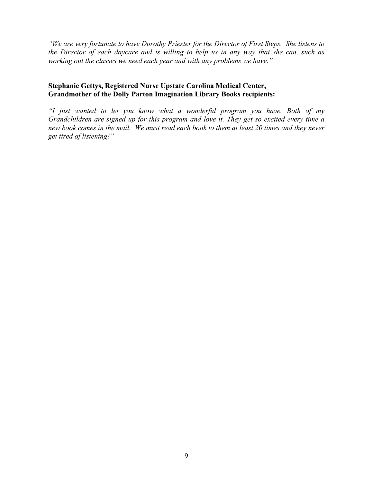*"We are very fortunate to have Dorothy Priester for the Director of First Steps. She listens to the Director of each daycare and is willing to help us in any way that she can, such as working out the classes we need each year and with any problems we have."* 

#### **Stephanie Gettys, Registered Nurse Upstate Carolina Medical Center, Grandmother of the Dolly Parton Imagination Library Books recipients:**

*"I just wanted to let you know what a wonderful program you have. Both of my Grandchildren are signed up for this program and love it. They get so excited every time a new book comes in the mail. We must read each book to them at least 20 times and they never get tired of listening!"*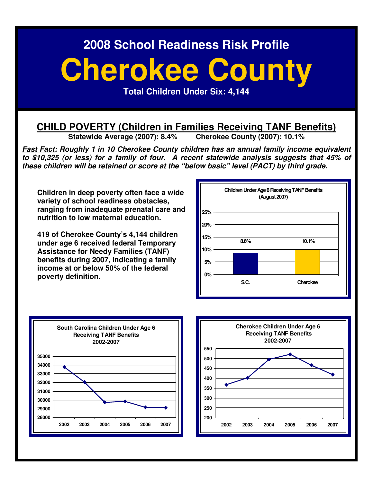# **Cherokee County**

**Total Children Under Six: 4,144** 

# **CHILD POVERTY (Children in Families Receiving TANF Benefits)**<br>Statewide Average (2007): 8.4% Cherokee County (2007): 10.1%

**Statewide Average (2007): 8.4%** 

**Fast Fact: Roughly 1 in 10 Cherokee County children has an annual family income equivalent to \$10,325 (or less) for a family of four. A recent statewide analysis suggests that 45% of these children will be retained or score at the "below basic" level (PACT) by third grade.** 

**Children in deep poverty often face a wide variety of school readiness obstacles, ranging from inadequate prenatal care and nutrition to low maternal education.** 

**419 of Cherokee County's 4,144 children under age 6 received federal Temporary Assistance for Needy Families (TANF) benefits during 2007, indicating a family income at or below 50% of the federal poverty definition.** 





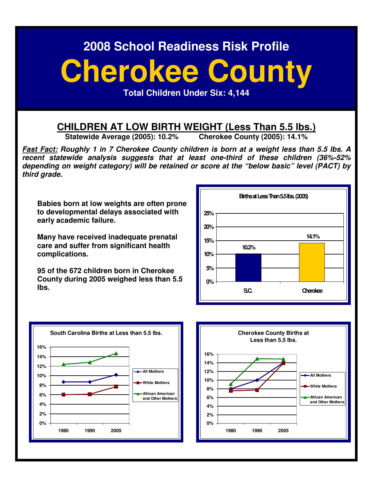# **Cherokee County**

**Total Children Under Six: 4,144** 

# **CHILDREN AT LOW BIRTH WEIGHT (Less Than 5.5 lbs.)**<br>Statewide Average (2005): 10.2% Cherokee County (2005): 14.1%

**Statewide Average (2005): 10.2%** 

**Fast Fact: Roughly 1 in 7 Cherokee County children is born at a weight less than 5.5 lbs. A recent statewide analysis suggests that at least one-third of these children (36%-52% depending on weight category) will be retained or score at the "below basic" level (PACT) by third grade.** 

**Babies born at low weights are often prone to developmental delays associated with early academic failure.** 

**Many have received inadequate prenatal care and suffer from significant health complications.** 

**95 of the 672 children born in Cherokee County during 2005 weighed less than 5.5 lbs.** 





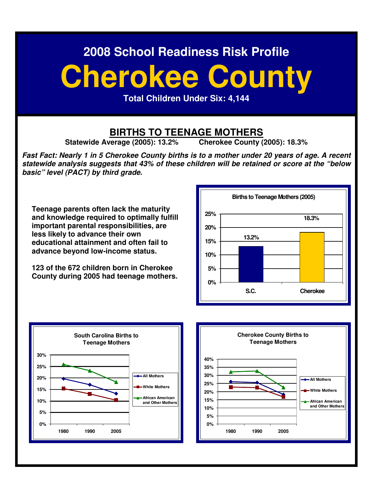# **Cherokee County**

**Total Children Under Six: 4,144** 

# **BIRTHS TO TEENAGE MOTHERS**<br> *Perage (2005):* 13.2% Cherokee County (2005): 18.3%

**Statewide Average (2005): 13.2%** 

**Fast Fact: Nearly 1 in 5 Cherokee County births is to a mother under 20 years of age. A recent statewide analysis suggests that 43% of these children will be retained or score at the "below basic" level (PACT) by third grade.** 

**Teenage parents often lack the maturity and knowledge required to optimally fulfill important parental responsibilities, are less likely to advance their own educational attainment and often fail to advance beyond low-income status.** 

**123 of the 672 children born in Cherokee County during 2005 had teenage mothers.** 





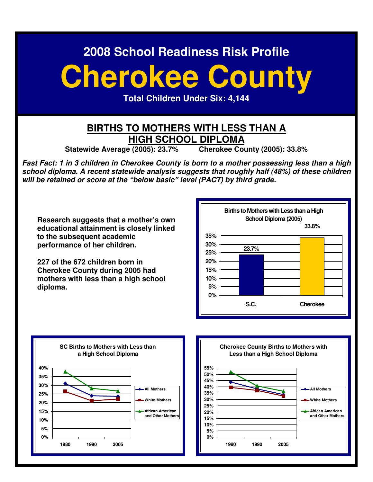# **Cherokee County**

**Total Children Under Six: 4,144** 

#### **BIRTHS TO MOTHERS WITH LESS THAN A HIGH SCHOOL DIPLOMA**

**Statewide Average (2005): 23.7% Cherokee County (2005): 33.8%** 

**Fast Fact: 1 in 3 children in Cherokee County is born to a mother possessing less than a high school diploma. A recent statewide analysis suggests that roughly half (48%) of these children will be retained or score at the "below basic" level (PACT) by third grade.** 

**Research suggests that a mother's own educational attainment is closely linked to the subsequent academic performance of her children.** 

**227 of the 672 children born in Cherokee County during 2005 had mothers with less than a high school diploma.**